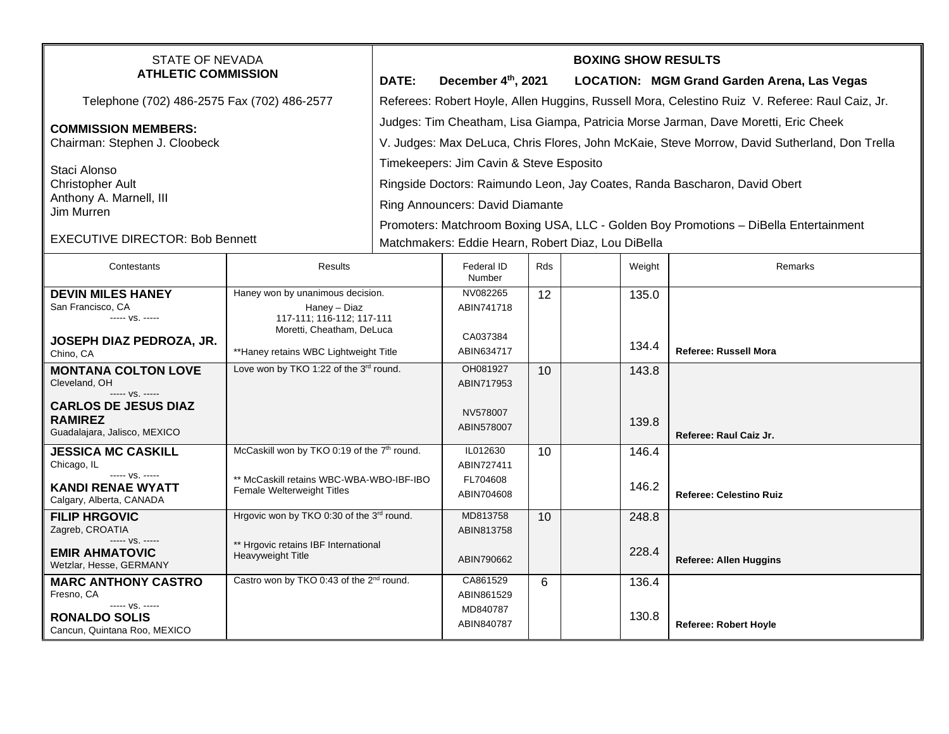| STATE OF NEVADA<br><b>ATHLETIC COMMISSION</b>                                                                              |                                                                                                                                                     | DATE:                                                                                                                                                                                                                                                                                                        | December 4th, 2021                               |     |  |                | <b>BOXING SHOW RESULTS</b><br>LOCATION: MGM Grand Garden Arena, Las Vegas |  |
|----------------------------------------------------------------------------------------------------------------------------|-----------------------------------------------------------------------------------------------------------------------------------------------------|--------------------------------------------------------------------------------------------------------------------------------------------------------------------------------------------------------------------------------------------------------------------------------------------------------------|--------------------------------------------------|-----|--|----------------|---------------------------------------------------------------------------|--|
| Telephone (702) 486-2575 Fax (702) 486-2577                                                                                |                                                                                                                                                     | Referees: Robert Hoyle, Allen Huggins, Russell Mora, Celestino Ruiz V. Referee: Raul Caiz, Jr.                                                                                                                                                                                                               |                                                  |     |  |                |                                                                           |  |
| <b>COMMISSION MEMBERS:</b><br>Chairman: Stephen J. Cloobeck                                                                |                                                                                                                                                     | Judges: Tim Cheatham, Lisa Giampa, Patricia Morse Jarman, Dave Moretti, Eric Cheek<br>V. Judges: Max DeLuca, Chris Flores, John McKaie, Steve Morrow, David Sutherland, Don Trella                                                                                                                           |                                                  |     |  |                |                                                                           |  |
| Staci Alonso<br><b>Christopher Ault</b><br>Anthony A. Marnell, III<br>Jim Murren<br><b>EXECUTIVE DIRECTOR: Bob Bennett</b> |                                                                                                                                                     | Timekeepers: Jim Cavin & Steve Esposito<br>Ringside Doctors: Raimundo Leon, Jay Coates, Randa Bascharon, David Obert<br><b>Ring Announcers: David Diamante</b><br>Promoters: Matchroom Boxing USA, LLC - Golden Boy Promotions - DiBella Entertainment<br>Matchmakers: Eddie Hearn, Robert Diaz, Lou DiBella |                                                  |     |  |                |                                                                           |  |
| Contestants                                                                                                                | <b>Results</b>                                                                                                                                      |                                                                                                                                                                                                                                                                                                              | Federal ID<br>Number                             | Rds |  | Weight         | Remarks                                                                   |  |
| <b>DEVIN MILES HANEY</b><br>San Francisco, CA<br>----- VS. -----<br>JOSEPH DIAZ PEDROZA, JR.<br>Chino, CA                  | Haney won by unanimous decision.<br>Haney - Diaz<br>117-111; 116-112; 117-111<br>Moretti, Cheatham, DeLuca<br>**Haney retains WBC Lightweight Title |                                                                                                                                                                                                                                                                                                              | NV082265<br>ABIN741718<br>CA037384<br>ABIN634717 | 12  |  | 135.0<br>134.4 | Referee: Russell Mora                                                     |  |
| <b>MONTANA COLTON LOVE</b><br>Cleveland, OH<br>----- VS. -----<br><b>CARLOS DE JESUS DIAZ</b><br><b>RAMIREZ</b>            | Love won by TKO 1:22 of the 3rd round.<br>McCaskill won by TKO 0:19 of the 7 <sup>th</sup> round.                                                   |                                                                                                                                                                                                                                                                                                              | OH081927<br>ABIN717953<br>NV578007               | 10  |  | 143.8<br>139.8 |                                                                           |  |
| Guadalajara, Jalisco, MEXICO<br><b>JESSICA MC CASKILL</b>                                                                  |                                                                                                                                                     |                                                                                                                                                                                                                                                                                                              | ABIN578007<br>IL012630                           | 10  |  | 146.4          | Referee: Raul Caiz Jr.                                                    |  |
| Chicago, IL<br>----- VS. -----<br>KANDI RENAE WYATT<br>Calgary, Alberta, CANADA                                            | ** McCaskill retains WBC-WBA-WBO-IBF-IBO<br>Female Welterweight Titles                                                                              |                                                                                                                                                                                                                                                                                                              | ABIN727411<br>FL704608<br>ABIN704608             |     |  | 146.2          | <b>Referee: Celestino Ruiz</b>                                            |  |
| <b>FILIP HRGOVIC</b><br>Zagreb, CROATIA<br>----- VS. -----                                                                 | Hrgovic won by TKO 0:30 of the 3rd round.<br>** Hrgovic retains IBF International<br><b>Heavyweight Title</b>                                       |                                                                                                                                                                                                                                                                                                              | MD813758<br>ABIN813758                           | 10  |  | 248.8          |                                                                           |  |
| <b>EMIR AHMATOVIC</b><br>Wetzlar, Hesse, GERMANY                                                                           |                                                                                                                                                     |                                                                                                                                                                                                                                                                                                              | ABIN790662                                       |     |  | 228.4          | <b>Referee: Allen Huggins</b>                                             |  |
| <b>MARC ANTHONY CASTRO</b><br>Fresno, CA<br>----- VS. -----<br><b>RONALDO SOLIS</b><br>Cancun, Quintana Roo, MEXICO        | Castro won by TKO 0:43 of the 2 <sup>nd</sup> round.                                                                                                |                                                                                                                                                                                                                                                                                                              | CA861529<br>ABIN861529<br>MD840787<br>ABIN840787 | 6   |  | 136.4<br>130.8 | <b>Referee: Robert Hoyle</b>                                              |  |